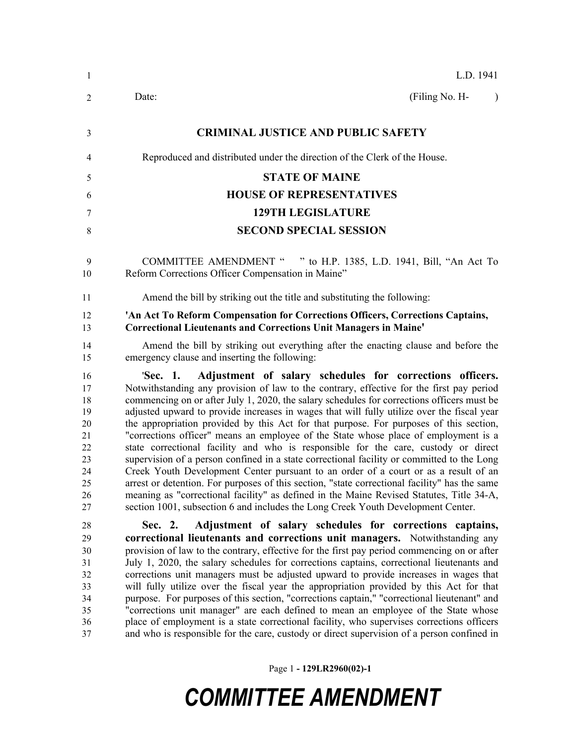| 1                                                                    | L.D. 1941                                                                                                                                                                                                                                                                                                                                                                                                                                                                                                                                                                                                                                                                                                                                                                                                                                                                                                                                                                                                                                                                                                 |
|----------------------------------------------------------------------|-----------------------------------------------------------------------------------------------------------------------------------------------------------------------------------------------------------------------------------------------------------------------------------------------------------------------------------------------------------------------------------------------------------------------------------------------------------------------------------------------------------------------------------------------------------------------------------------------------------------------------------------------------------------------------------------------------------------------------------------------------------------------------------------------------------------------------------------------------------------------------------------------------------------------------------------------------------------------------------------------------------------------------------------------------------------------------------------------------------|
| 2                                                                    | (Filing No. H-<br>Date:<br>$\lambda$                                                                                                                                                                                                                                                                                                                                                                                                                                                                                                                                                                                                                                                                                                                                                                                                                                                                                                                                                                                                                                                                      |
| 3                                                                    | <b>CRIMINAL JUSTICE AND PUBLIC SAFETY</b>                                                                                                                                                                                                                                                                                                                                                                                                                                                                                                                                                                                                                                                                                                                                                                                                                                                                                                                                                                                                                                                                 |
| 4                                                                    | Reproduced and distributed under the direction of the Clerk of the House.                                                                                                                                                                                                                                                                                                                                                                                                                                                                                                                                                                                                                                                                                                                                                                                                                                                                                                                                                                                                                                 |
| 5                                                                    | <b>STATE OF MAINE</b>                                                                                                                                                                                                                                                                                                                                                                                                                                                                                                                                                                                                                                                                                                                                                                                                                                                                                                                                                                                                                                                                                     |
|                                                                      | <b>HOUSE OF REPRESENTATIVES</b>                                                                                                                                                                                                                                                                                                                                                                                                                                                                                                                                                                                                                                                                                                                                                                                                                                                                                                                                                                                                                                                                           |
| 6                                                                    |                                                                                                                                                                                                                                                                                                                                                                                                                                                                                                                                                                                                                                                                                                                                                                                                                                                                                                                                                                                                                                                                                                           |
| 7                                                                    | <b>129TH LEGISLATURE</b>                                                                                                                                                                                                                                                                                                                                                                                                                                                                                                                                                                                                                                                                                                                                                                                                                                                                                                                                                                                                                                                                                  |
| 8                                                                    | <b>SECOND SPECIAL SESSION</b>                                                                                                                                                                                                                                                                                                                                                                                                                                                                                                                                                                                                                                                                                                                                                                                                                                                                                                                                                                                                                                                                             |
| 9<br>10                                                              | <b>COMMITTEE AMENDMENT "</b><br>" to H.P. 1385, L.D. 1941, Bill, "An Act To<br>Reform Corrections Officer Compensation in Maine"                                                                                                                                                                                                                                                                                                                                                                                                                                                                                                                                                                                                                                                                                                                                                                                                                                                                                                                                                                          |
| 11                                                                   | Amend the bill by striking out the title and substituting the following:                                                                                                                                                                                                                                                                                                                                                                                                                                                                                                                                                                                                                                                                                                                                                                                                                                                                                                                                                                                                                                  |
| 12<br>13                                                             | 'An Act To Reform Compensation for Corrections Officers, Corrections Captains,<br><b>Correctional Lieutenants and Corrections Unit Managers in Maine'</b>                                                                                                                                                                                                                                                                                                                                                                                                                                                                                                                                                                                                                                                                                                                                                                                                                                                                                                                                                 |
| 14<br>15                                                             | Amend the bill by striking out everything after the enacting clause and before the<br>emergency clause and inserting the following:                                                                                                                                                                                                                                                                                                                                                                                                                                                                                                                                                                                                                                                                                                                                                                                                                                                                                                                                                                       |
| 16<br>17<br>18<br>19<br>20<br>21<br>22<br>23<br>24<br>25<br>26<br>27 | Adjustment of salary schedules for corrections officers.<br>'Sec. 1.<br>Notwithstanding any provision of law to the contrary, effective for the first pay period<br>commencing on or after July 1, 2020, the salary schedules for corrections officers must be<br>adjusted upward to provide increases in wages that will fully utilize over the fiscal year<br>the appropriation provided by this Act for that purpose. For purposes of this section,<br>"corrections officer" means an employee of the State whose place of employment is a<br>state correctional facility and who is responsible for the care, custody or direct<br>supervision of a person confined in a state correctional facility or committed to the Long<br>Creek Youth Development Center pursuant to an order of a court or as a result of an<br>arrest or detention. For purposes of this section, "state correctional facility" has the same<br>meaning as "correctional facility" as defined in the Maine Revised Statutes, Title 34-A,<br>section 1001, subsection 6 and includes the Long Creek Youth Development Center. |
| 28                                                                   | Adjustment of salary schedules for corrections captains,<br>Sec. 2.                                                                                                                                                                                                                                                                                                                                                                                                                                                                                                                                                                                                                                                                                                                                                                                                                                                                                                                                                                                                                                       |
| 29                                                                   | correctional lieutenants and corrections unit managers. Notwithstanding any                                                                                                                                                                                                                                                                                                                                                                                                                                                                                                                                                                                                                                                                                                                                                                                                                                                                                                                                                                                                                               |
| 30<br>31                                                             | provision of law to the contrary, effective for the first pay period commencing on or after<br>July 1, 2020, the salary schedules for corrections captains, correctional lieutenants and                                                                                                                                                                                                                                                                                                                                                                                                                                                                                                                                                                                                                                                                                                                                                                                                                                                                                                                  |
| 32                                                                   | corrections unit managers must be adjusted upward to provide increases in wages that                                                                                                                                                                                                                                                                                                                                                                                                                                                                                                                                                                                                                                                                                                                                                                                                                                                                                                                                                                                                                      |
| 33                                                                   | will fully utilize over the fiscal year the appropriation provided by this Act for that                                                                                                                                                                                                                                                                                                                                                                                                                                                                                                                                                                                                                                                                                                                                                                                                                                                                                                                                                                                                                   |
| 34                                                                   | purpose. For purposes of this section, "corrections captain," "correctional lieutenant" and                                                                                                                                                                                                                                                                                                                                                                                                                                                                                                                                                                                                                                                                                                                                                                                                                                                                                                                                                                                                               |
| 35                                                                   | "corrections unit manager" are each defined to mean an employee of the State whose                                                                                                                                                                                                                                                                                                                                                                                                                                                                                                                                                                                                                                                                                                                                                                                                                                                                                                                                                                                                                        |
| 36                                                                   | place of employment is a state correctional facility, who supervises corrections officers                                                                                                                                                                                                                                                                                                                                                                                                                                                                                                                                                                                                                                                                                                                                                                                                                                                                                                                                                                                                                 |

Page 1 **- 129LR2960(02)-1**

and who is responsible for the care, custody or direct supervision of a person confined in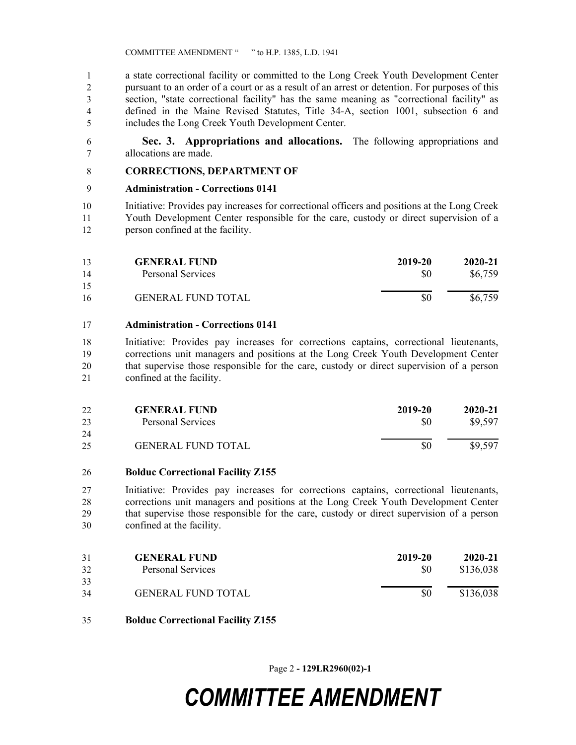a state correctional facility or committed to the Long Creek Youth Development Center pursuant to an order of a court or as a result of an arrest or detention. For purposes of this section, "state correctional facility" has the same meaning as "correctional facility" as defined in the Maine Revised Statutes, Title 34-A, section 1001, subsection 6 and includes the Long Creek Youth Development Center.

 **Sec. 3. Appropriations and allocations.** The following appropriations and allocations are made.

## **CORRECTIONS, DEPARTMENT OF**

### **Administration - Corrections 0141**

 Initiative: Provides pay increases for correctional officers and positions at the Long Creek Youth Development Center responsible for the care, custody or direct supervision of a person confined at the facility.

| 13 | <b>GENERAL FUND</b>       | 2019-20 | $2020 - 21$ |
|----|---------------------------|---------|-------------|
| 14 | Personal Services         | \$0     | \$6,759     |
| 15 |                           |         |             |
| 16 | <b>GENERAL FUND TOTAL</b> | \$0     | \$6,759     |

#### **Administration - Corrections 0141**

 Initiative: Provides pay increases for corrections captains, correctional lieutenants, corrections unit managers and positions at the Long Creek Youth Development Center that supervise those responsible for the care, custody or direct supervision of a person confined at the facility.

| 22 | <b>GENERAL FUND</b>       | 2019-20 | 2020-21 |
|----|---------------------------|---------|---------|
| 23 | <b>Personal Services</b>  | \$0     | \$9,597 |
| 24 |                           |         |         |
| 25 | <b>GENERAL FUND TOTAL</b> | \$0     | \$9,597 |

#### **Bolduc Correctional Facility Z155**

 Initiative: Provides pay increases for corrections captains, correctional lieutenants, corrections unit managers and positions at the Long Creek Youth Development Center that supervise those responsible for the care, custody or direct supervision of a person confined at the facility.

| 31 | <b>GENERAL FUND</b>       | 2019-20 | 2020-21   |
|----|---------------------------|---------|-----------|
| 32 | <b>Personal Services</b>  | \$0     | \$136,038 |
| 33 |                           |         |           |
| 34 | <b>GENERAL FUND TOTAL</b> | \$0     | \$136,038 |

**Bolduc Correctional Facility Z155**

Page 2 **- 129LR2960(02)-1**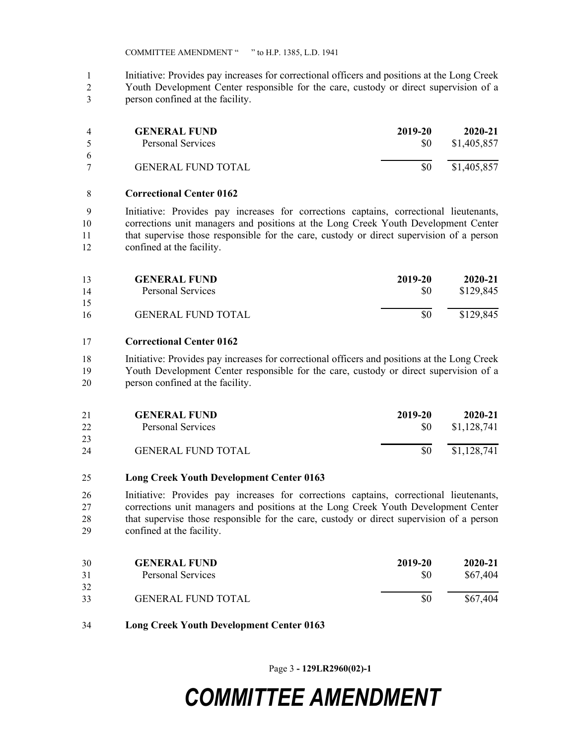COMMITTEE AMENDMENT " " to H.P. 1385, L.D. 1941

- Initiative: Provides pay increases for correctional officers and positions at the Long Creek
- Youth Development Center responsible for the care, custody or direct supervision of a person confined at the facility.

| $\overline{4}$ | <b>GENERAL FUND</b>       | 2019-20 | $2020 - 21$ |
|----------------|---------------------------|---------|-------------|
| $\sim$         | Personal Services         | SO.     | \$1,405,857 |
| 6              |                           |         |             |
|                | <b>GENERAL FUND TOTAL</b> | \$0     | \$1,405,857 |

### **Correctional Center 0162**

 Initiative: Provides pay increases for corrections captains, correctional lieutenants, corrections unit managers and positions at the Long Creek Youth Development Center that supervise those responsible for the care, custody or direct supervision of a person confined at the facility.

| 13 | <b>GENERAL FUND</b>       | 2019-20 | 2020-21   |
|----|---------------------------|---------|-----------|
| 14 | Personal Services         | \$0     | \$129,845 |
| 15 |                           |         |           |
| 16 | <b>GENERAL FUND TOTAL</b> |         | \$129,845 |

# **Correctional Center 0162**

 Initiative: Provides pay increases for correctional officers and positions at the Long Creek Youth Development Center responsible for the care, custody or direct supervision of a person confined at the facility.

| 21 | <b>GENERAL FUND</b>       | 2019-20 | 2020-21     |
|----|---------------------------|---------|-------------|
| 22 | <b>Personal Services</b>  | SO.     | \$1,128,741 |
| 23 |                           |         |             |
| 24 | <b>GENERAL FUND TOTAL</b> | SO.     | \$1,128,741 |

### **Long Creek Youth Development Center 0163**

 Initiative: Provides pay increases for corrections captains, correctional lieutenants, corrections unit managers and positions at the Long Creek Youth Development Center that supervise those responsible for the care, custody or direct supervision of a person confined at the facility.

| 30 | <b>GENERAL FUND</b>       | 2019-20 | $2020 - 21$ |
|----|---------------------------|---------|-------------|
| 31 | Personal Services         | \$0     | \$67,404    |
| 32 |                           |         |             |
| 33 | <b>GENERAL FUND TOTAL</b> | \$0     | \$67,404    |

**Long Creek Youth Development Center 0163**

Page 3 **- 129LR2960(02)-1**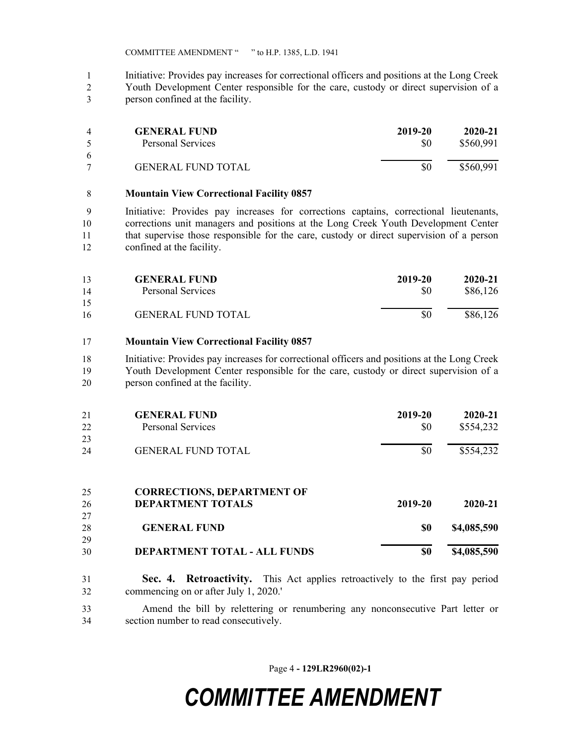COMMITTEE AMENDMENT " " to H.P. 1385, L.D. 1941

- Initiative: Provides pay increases for correctional officers and positions at the Long Creek
- Youth Development Center responsible for the care, custody or direct supervision of a person confined at the facility.

| 4      | <b>GENERAL FUND</b>       | 2019-20 | $2020 - 21$ |
|--------|---------------------------|---------|-------------|
| $\sim$ | Personal Services         | \$0     | \$560,991   |
| 6      |                           |         |             |
|        | <b>GENERAL FUND TOTAL</b> |         | \$560,991   |

### **Mountain View Correctional Facility 0857**

 Initiative: Provides pay increases for corrections captains, correctional lieutenants, corrections unit managers and positions at the Long Creek Youth Development Center that supervise those responsible for the care, custody or direct supervision of a person confined at the facility.

| 13 | <b>GENERAL FUND</b>       | 2019-20 | 2020-21  |
|----|---------------------------|---------|----------|
| 14 | <b>Personal Services</b>  | \$0     | \$86,126 |
| 15 |                           |         |          |
| 16 | <b>GENERAL FUND TOTAL</b> | \$0     | \$86,126 |

## **Mountain View Correctional Facility 0857**

 Initiative: Provides pay increases for correctional officers and positions at the Long Creek Youth Development Center responsible for the care, custody or direct supervision of a person confined at the facility.

| 21 | <b>GENERAL FUND</b>               | 2019-20 | $2020 - 21$ |
|----|-----------------------------------|---------|-------------|
| 22 | <b>Personal Services</b>          | \$0     | \$554,232   |
| 23 |                                   |         |             |
| 24 | <b>GENERAL FUND TOTAL</b>         | \$0     | \$554,232   |
|    |                                   |         |             |
| 25 | <b>CORRECTIONS, DEPARTMENT OF</b> |         |             |
| 26 | <b>DEPARTMENT TOTALS</b>          | 2019-20 | $2020 - 21$ |
| 27 |                                   |         |             |
| 28 | <b>GENERAL FUND</b>               | \$0     | \$4,085,590 |

| 29 |                                     |     |             |
|----|-------------------------------------|-----|-------------|
| 30 | <b>DEPARTMENT TOTAL - ALL FUNDS</b> | \$0 | \$4,085,590 |

 **Sec. 4. Retroactivity.** This Act applies retroactively to the first pay period commencing on or after July 1, 2020.'

 Amend the bill by relettering or renumbering any nonconsecutive Part letter or section number to read consecutively.

Page 4 **- 129LR2960(02)-1**